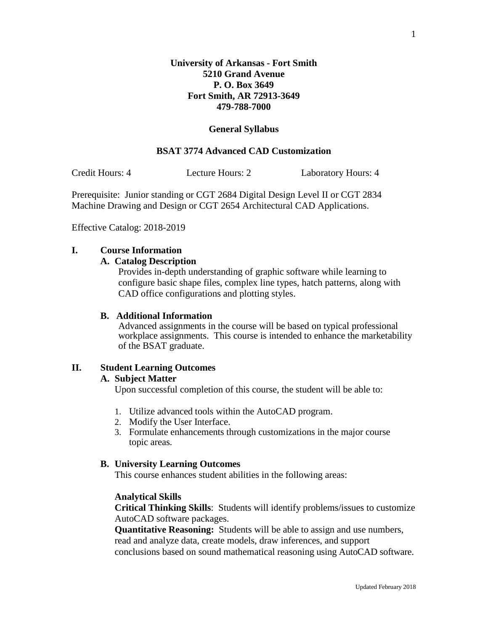## **General Syllabus**

## **BSAT 3774 Advanced CAD Customization**

Credit Hours: 4 Lecture Hours: 2 Laboratory Hours: 4

Prerequisite: Junior standing or CGT 2684 Digital Design Level II or CGT 2834 Machine Drawing and Design or CGT 2654 Architectural CAD Applications.

Effective Catalog: 2018-2019

#### **I. Course Information**

#### **A. Catalog Description**

Provides in-depth understanding of graphic software while learning to configure basic shape files, complex line types, hatch patterns, along with CAD office configurations and plotting styles.

## **B. Additional Information**

Advanced assignments in the course will be based on typical professional workplace assignments. This course is intended to enhance the marketability of the BSAT graduate.

## **II. Student Learning Outcomes**

#### **A. Subject Matter**

Upon successful completion of this course, the student will be able to:

- 1. Utilize advanced tools within the AutoCAD program.
- 2. Modify the User Interface.
- 3. Formulate enhancements through customizations in the major course topic areas.

## **B. University Learning Outcomes**

This course enhances student abilities in the following areas:

#### **Analytical Skills**

**Critical Thinking Skills**: Students will identify problems/issues to customize AutoCAD software packages.

**Quantitative Reasoning:** Students will be able to assign and use numbers, read and analyze data, create models, draw inferences, and support conclusions based on sound mathematical reasoning using AutoCAD software.